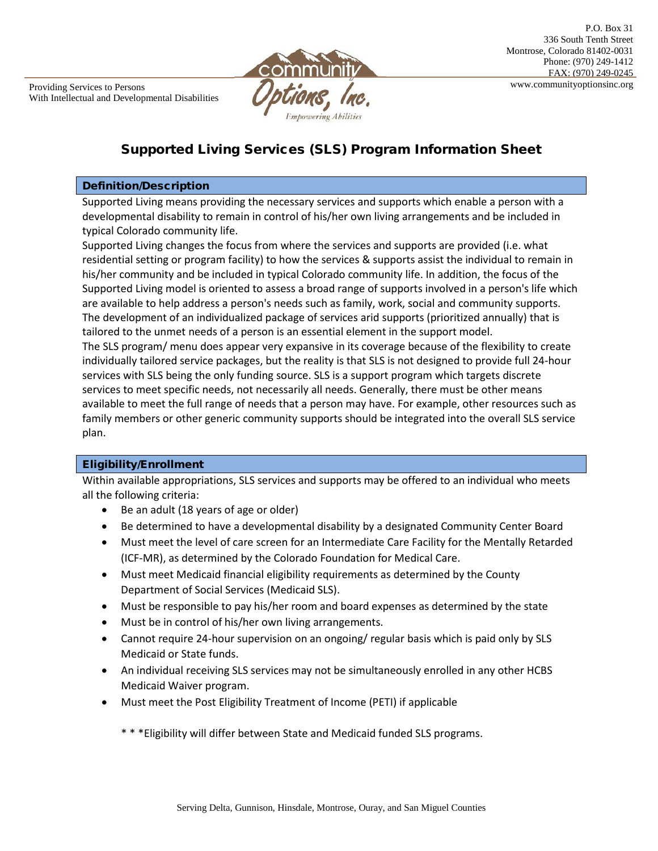

# Supported Living Services (SLS) Program Information Sheet

#### Definition/Description

Supported Living means providing the necessary services and supports which enable a person with a developmental disability to remain in control of his/her own living arrangements and be included in typical Colorado community life.

Supported Living changes the focus from where the services and supports are provided (i.e. what residential setting or program facility) to how the services & supports assist the individual to remain in his/her community and be included in typical Colorado community life. In addition, the focus of the Supported Living model is oriented to assess a broad range of supports involved in a person's life which are available to help address a person's needs such as family, work, social and community supports. The development of an individualized package of services arid supports (prioritized annually) that is tailored to the unmet needs of a person is an essential element in the support model. The SLS program/ menu does appear very expansive in its coverage because of the flexibility to create individually tailored service packages, but the reality is that SLS is not designed to provide full 24-hour services with SLS being the only funding source. SLS is a support program which targets discrete services to meet specific needs, not necessarily all needs. Generally, there must be other means available to meet the full range of needs that a person may have. For example, other resources such as family members or other generic community supports should be integrated into the overall SLS service plan.

#### Eligibility/Enrollment

Within available appropriations, SLS services and supports may be offered to an individual who meets all the following criteria:

- Be an adult (18 years of age or older)
- Be determined to have a developmental disability by a designated Community Center Board
- Must meet the level of care screen for an Intermediate Care Facility for the Mentally Retarded (ICF-MR), as determined by the Colorado Foundation for Medical Care.
- Must meet Medicaid financial eligibility requirements as determined by the County Department of Social Services (Medicaid SLS).
- Must be responsible to pay his/her room and board expenses as determined by the state
- Must be in control of his/her own living arrangements.
- Cannot require 24-hour supervision on an ongoing/ regular basis which is paid only by SLS Medicaid or State funds.
- An individual receiving SLS services may not be simultaneously enrolled in any other HCBS Medicaid Waiver program.
- Must meet the Post Eligibility Treatment of Income (PETI) if applicable
	- \* \* \*Eligibility will differ between State and Medicaid funded SLS programs.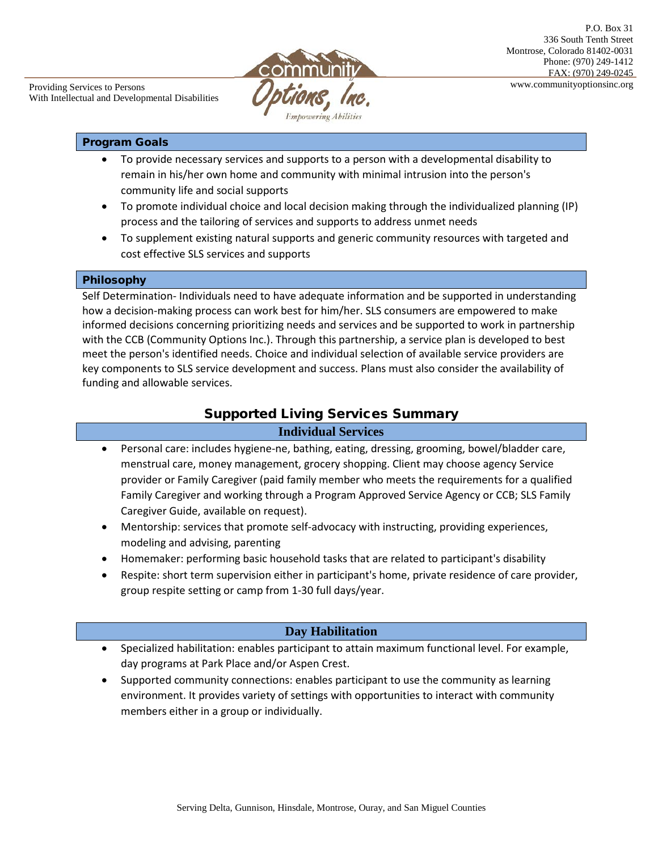

#### Program Goals

- To provide necessary services and supports to a person with a developmental disability to remain in his/her own home and community with minimal intrusion into the person's community life and social supports
- To promote individual choice and local decision making through the individualized planning (IP) process and the tailoring of services and supports to address unmet needs
- To supplement existing natural supports and generic community resources with targeted and cost effective SLS services and supports

#### Philosophy

Self Determination- Individuals need to have adequate information and be supported in understanding how a decision-making process can work best for him/her. SLS consumers are empowered to make informed decisions concerning prioritizing needs and services and be supported to work in partnership with the CCB (Community Options Inc.). Through this partnership, a service plan is developed to best meet the person's identified needs. Choice and individual selection of available service providers are key components to SLS service development and success. Plans must also consider the availability of funding and allowable services.

## Supported Living Services Summary

#### **Individual Services**

- Personal care: includes hygiene-ne, bathing, eating, dressing, grooming, bowel/bladder care, menstrual care, money management, grocery shopping. Client may choose agency Service provider or Family Caregiver (paid family member who meets the requirements for a qualified Family Caregiver and working through a Program Approved Service Agency or CCB; SLS Family Caregiver Guide, available on request).
- Mentorship: services that promote self-advocacy with instructing, providing experiences, modeling and advising, parenting
- Homemaker: performing basic household tasks that are related to participant's disability
- Respite: short term supervision either in participant's home, private residence of care provider, group respite setting or camp from 1-30 full days/year.

## **Day Habilitation**

- Specialized habilitation: enables participant to attain maximum functional level. For example, day programs at Park Place and/or Aspen Crest.
- Supported community connections: enables participant to use the community as learning environment. It provides variety of settings with opportunities to interact with community members either in a group or individually.